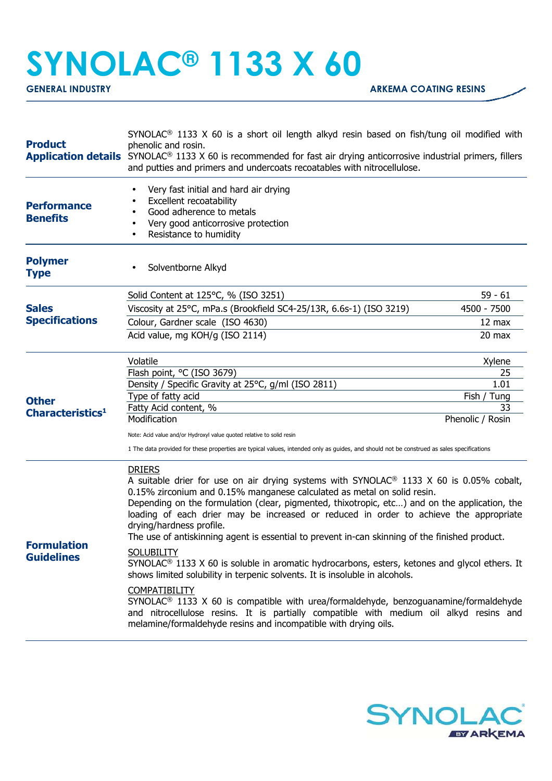## **SYNOLAC® 1133 X 60**

**GENERAL INDUSTRY GENERAL INDUSTRY ARKEMA COATING RESINS** 

| <b>Product</b>                               | SYNOLAC <sup>®</sup> 1133 X 60 is a short oil length alkyd resin based on fish/tung oil modified with<br>phenolic and rosin.<br><b>Application details</b> SYNOLAC <sup>®</sup> 1133 X 60 is recommended for fast air drying anticorrosive industrial primers, fillers<br>and putties and primers and undercoats recoatables with nitrocellulose.                                                                                                                                                                       |                     |  |
|----------------------------------------------|-------------------------------------------------------------------------------------------------------------------------------------------------------------------------------------------------------------------------------------------------------------------------------------------------------------------------------------------------------------------------------------------------------------------------------------------------------------------------------------------------------------------------|---------------------|--|
| <b>Performance</b><br><b>Benefits</b>        | Very fast initial and hard air drying<br>Excellent recoatability<br>Good adherence to metals<br>Very good anticorrosive protection<br>Resistance to humidity                                                                                                                                                                                                                                                                                                                                                            |                     |  |
| <b>Polymer</b><br><b>Type</b>                | Solventborne Alkyd                                                                                                                                                                                                                                                                                                                                                                                                                                                                                                      |                     |  |
|                                              | Solid Content at 125°C, % (ISO 3251)                                                                                                                                                                                                                                                                                                                                                                                                                                                                                    | $59 - 61$           |  |
| <b>Sales</b><br><b>Specifications</b>        | Viscosity at 25°C, mPa.s (Brookfield SC4-25/13R, 6.6s-1) (ISO 3219)                                                                                                                                                                                                                                                                                                                                                                                                                                                     | 4500 - 7500         |  |
|                                              | Colour, Gardner scale (ISO 4630)                                                                                                                                                                                                                                                                                                                                                                                                                                                                                        | 12 max              |  |
|                                              | Acid value, mg KOH/g (ISO 2114)                                                                                                                                                                                                                                                                                                                                                                                                                                                                                         | 20 max              |  |
|                                              | Volatile                                                                                                                                                                                                                                                                                                                                                                                                                                                                                                                | Xylene              |  |
|                                              | Flash point, °C (ISO 3679)                                                                                                                                                                                                                                                                                                                                                                                                                                                                                              | 25                  |  |
| <b>Other</b><br>Characteristics <sup>1</sup> | Density / Specific Gravity at 25°C, g/ml (ISO 2811)<br>Type of fatty acid                                                                                                                                                                                                                                                                                                                                                                                                                                               | 1.01<br>Fish / Tung |  |
|                                              | Fatty Acid content, %                                                                                                                                                                                                                                                                                                                                                                                                                                                                                                   | 33                  |  |
|                                              | Modification                                                                                                                                                                                                                                                                                                                                                                                                                                                                                                            | Phenolic / Rosin    |  |
|                                              | Note: Acid value and/or Hydroxyl value quoted relative to solid resin                                                                                                                                                                                                                                                                                                                                                                                                                                                   |                     |  |
|                                              | 1 The data provided for these properties are typical values, intended only as guides, and should not be construed as sales specifications                                                                                                                                                                                                                                                                                                                                                                               |                     |  |
| <b>Formulation</b><br><b>Guidelines</b>      | <b>DRIERS</b><br>A suitable drier for use on air drying systems with SYNOLAC <sup>®</sup> 1133 X 60 is 0.05% cobalt,<br>0.15% zirconium and 0.15% manganese calculated as metal on solid resin.<br>Depending on the formulation (clear, pigmented, thixotropic, etc) and on the application, the<br>loading of each drier may be increased or reduced in order to achieve the appropriate<br>drying/hardness profile.<br>The use of antiskinning agent is essential to prevent in-can skinning of the finished product. |                     |  |
|                                              | <b>SOLUBILITY</b><br>SYNOLAC <sup>®</sup> 1133 X 60 is soluble in aromatic hydrocarbons, esters, ketones and glycol ethers. It<br>shows limited solubility in terpenic solvents. It is insoluble in alcohols.                                                                                                                                                                                                                                                                                                           |                     |  |
|                                              | <b>COMPATIBILITY</b><br>$SYNOLAC®$ 1133 X 60 is compatible with urea/formaldehyde, benzoguanamine/formaldehyde<br>and nitrocellulose resins. It is partially compatible with medium oil alkyd resins and<br>melamine/formaldehyde resins and incompatible with drying oils.                                                                                                                                                                                                                                             |                     |  |